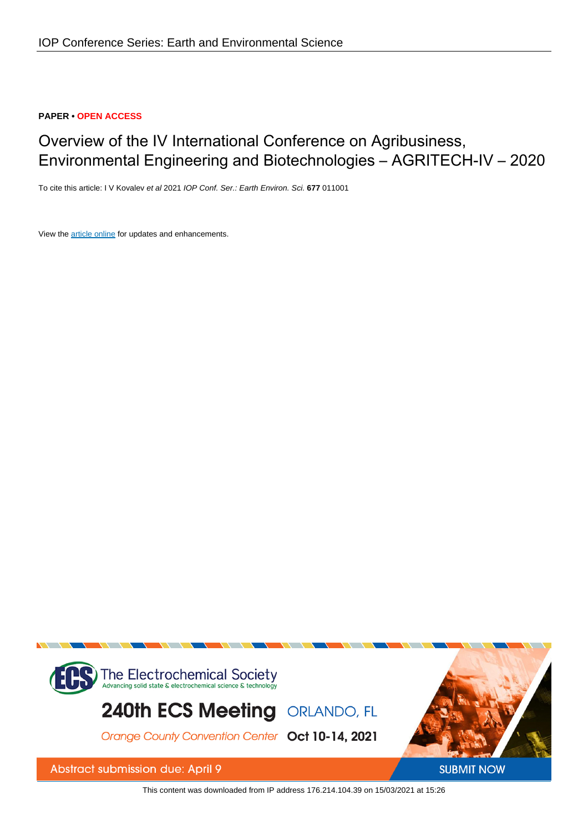### **PAPER • OPEN ACCESS**

# Overview of the IV International Conference on Agribusiness, Environmental Engineering and Biotechnologies – AGRITECH-IV – 2020

To cite this article: I V Kovalev et al 2021 IOP Conf. Ser.: Earth Environ. Sci. **677** 011001

View the [article online](https://doi.org/10.1088/1755-1315/677/1/011001) for updates and enhancements.



This content was downloaded from IP address 176.214.104.39 on 15/03/2021 at 15:26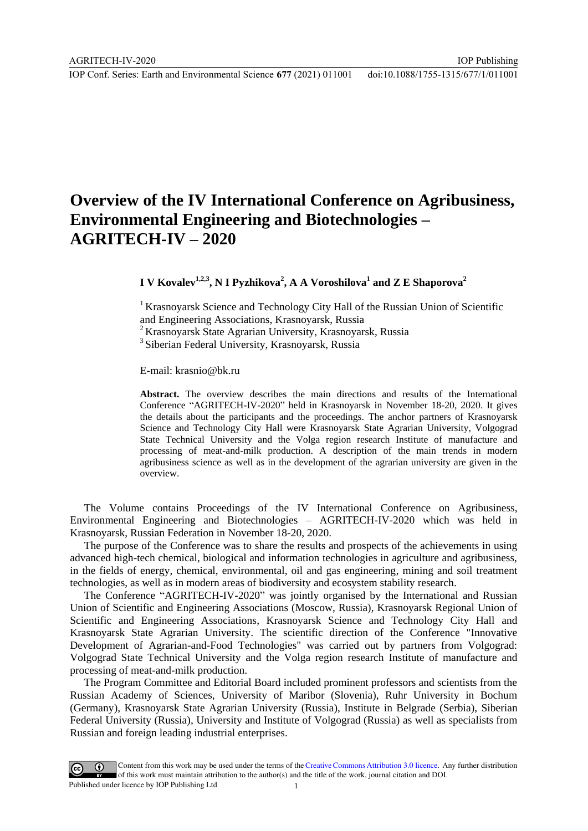IOP Publishing

# **Overview of the IV International Conference on Agribusiness, Environmental Engineering and Biotechnologies – AGRITECH-IV – 2020**

## **I**  $V$  Kovalev<sup>1,2,3</sup>, N I Pyzhikova<sup>2</sup>, A A Voroshilova<sup>1</sup> and Z E Shaporova<sup>2</sup>

<sup>1</sup> Krasnovarsk Science and Technology City Hall of the Russian Union of Scientific and Engineering Associations, Krasnoyarsk, Russia

<sup>2</sup>Krasnoyarsk State Agrarian University, Krasnoyarsk, Russia

<sup>3</sup> Siberian Federal University, Krasnoyarsk, Russia

E-mail: krasnio@bk.ru

**Abstract.** The overview describes the main directions and results of the International Conference "AGRITECH-IV-2020" held in Krasnoyarsk in November 18-20, 2020. It gives the details about the participants and the proceedings. The anchor partners of Krasnoyarsk Science and Technology City Hall were Krasnoyarsk State Agrarian University, Volgograd State Technical University and the Volga region research Institute of manufacture and processing of meat-and-milk production. A description of the main trends in modern agribusiness science as well as in the development of the agrarian university are given in the overview.

The Volume contains Proceedings of the IV International Conference on Agribusiness, Environmental Engineering and Biotechnologies – AGRITECH-IV-2020 which was held in Krasnoyarsk, Russian Federation in November 18-20, 2020.

The purpose of the Conference was to share the results and prospects of the achievements in using advanced high-tech chemical, biological and information technologies in agriculture and agribusiness, in the fields of energy, chemical, environmental, oil and gas engineering, mining and soil treatment technologies, as well as in modern areas of biodiversity and ecosystem stability research.

The Conference "AGRITECH-IV-2020" was jointly organised by the International and Russian Union of Scientific and Engineering Associations (Moscow, Russia), Krasnoyarsk Regional Union of Scientific and Engineering Associations, Krasnoyarsk Science and Technology City Hall and Krasnoyarsk State Agrarian University. The scientific direction of the Conference "Innovative Development of Agrarian-and-Food Technologies" was carried out by partners from Volgograd: Volgograd State Technical University and the Volga region research Institute of manufacture and processing of meat-and-milk production.

The Program Committee and Editorial Board included prominent professors and scientists from the Russian Academy of Sciences, University of Maribor (Slovenia), Ruhr University in Bochum (Germany), Krasnoyarsk State Agrarian University (Russia), Institute in Belgrade (Serbia), Siberian Federal University (Russia), University and Institute of Volgograd (Russia) as well as specialists from Russian and foreign leading industrial enterprises.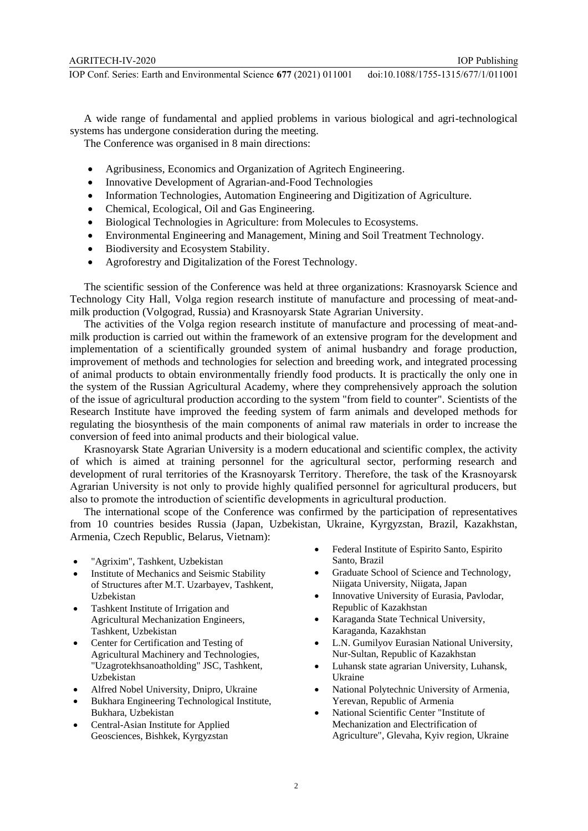A wide range of fundamental and applied problems in various biological and agri-technological systems has undergone consideration during the meeting.

The Conference was organised in 8 main directions:

- Agribusiness, Economics and Organization of Agritech Engineering.
- Innovative Development of Agrarian-and-Food Technologies
- Information Technologies, Automation Engineering and Digitization of Agriculture.
- Chemical, Ecological, Oil and Gas Engineering.
- Biological Technologies in Agriculture: from Molecules to Ecosystems.
- Environmental Engineering and Management, Mining and Soil Treatment Technology.
- Biodiversity and Ecosystem Stability.
- Agroforestry and Digitalization of the Forest Technology.

The scientific session of the Conference was held at three organizations: Krasnoyarsk Science and Technology City Hall, Volga region research institute of manufacture and processing of meat-andmilk production (Volgograd, Russia) and Krasnoyarsk State Agrarian University.

The activities of the Volga region research institute of manufacture and processing of meat-andmilk production is carried out within the framework of an extensive program for the development and implementation of a scientifically grounded system of animal husbandry and forage production, improvement of methods and technologies for selection and breeding work, and integrated processing of animal products to obtain environmentally friendly food products. It is practically the only one in the system of the Russian Agricultural Academy, where they comprehensively approach the solution of the issue of agricultural production according to the system "from field to counter". Scientists of the Research Institute have improved the feeding system of farm animals and developed methods for regulating the biosynthesis of the main components of animal raw materials in order to increase the conversion of feed into animal products and their biological value.

Krasnoyarsk State Agrarian University is a modern educational and scientific complex, the activity of which is aimed at training personnel for the agricultural sector, performing research and development of rural territories of the Krasnoyarsk Territory. Therefore, the task of the Krasnoyarsk Agrarian University is not only to provide highly qualified personnel for agricultural producers, but also to promote the introduction of scientific developments in agricultural production.

The international scope of the Conference was confirmed by the participation of representatives from 10 countries besides Russia (Japan, Uzbekistan, Ukraine, Kyrgyzstan, Brazil, Kazakhstan, Armenia, Czech Republic, Belarus, Vietnam):

- "Agrixim", Tashkent, Uzbekistan
- Institute of Mechanics and Seismic Stability of Structures after M.T. Uzarbayev, Tashkent, Uzbekistan
- Tashkent Institute of Irrigation and Agricultural Mechanization Engineers, Tashkent, Uzbekistan
- Center for Certification and Testing of Agricultural Machinery and Technologies, "Uzagrotekhsanoatholding" JSC, Tashkent, Uzbekistan
- Alfred Nobel University, Dnipro, Ukraine
- Bukhara Engineering Technological Institute, Bukhara, Uzbekistan
- Central-Asian Institute for Applied Geosciences, Bishkek, Kyrgyzstan
- Federal Institute of Espirito Santo, Espirito Santo, Brazil
- Graduate School of Science and Technology, Niigata University, Niigata, Japan
- Innovative University of Eurasia, Pavlodar, Republic of Kazakhstan
- Karaganda State Technical University, Karaganda, Kazakhstan
- L.N. Gumilyov Eurasian National University, Nur-Sultan, Republic of Kazakhstan
- Luhansk state agrarian University, Luhansk, Ukraine
- National Polytechnic University of Armenia, Yerevan, Republic of Armenia
- National Scientific Center "Institute of Mechanization and Electrification of Agriculture", Glevaha, Kyiv region, Ukraine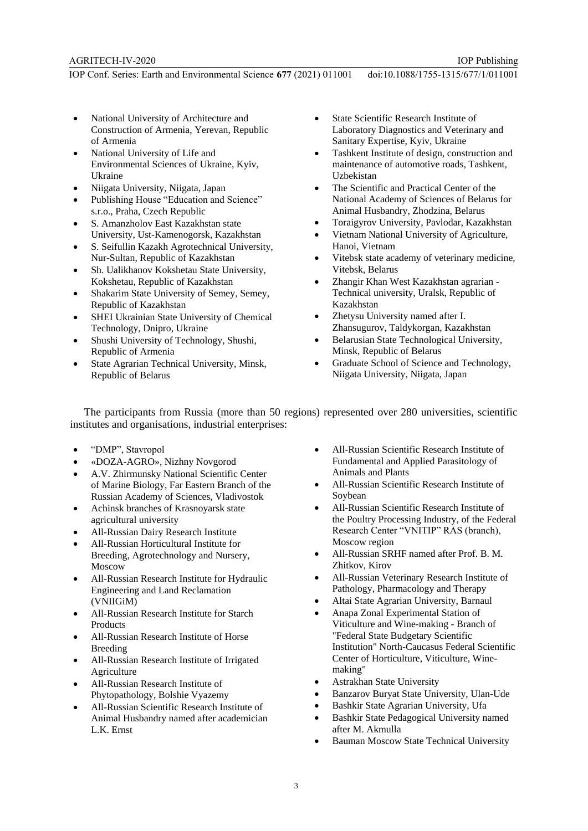- National University of Architecture and Construction of Armenia, Yerevan, Republic of Armenia
- National University of Life and Environmental Sciences of Ukraine, Kyiv, Ukraine
- Niigata University, Niigata, Japan
- Publishing House "Education and Science" s.r.o., Praha, Czech Republic
- S. Amanzholov East Kazakhstan state University, Ust-Kamenogorsk, Kazakhstan
- S. Seifullin Kazakh Agrotechnical University, Nur-Sultan, Republic of Kazakhstan
- Sh. Ualikhanov Kokshetau State University, Kokshetau, Republic of Kazakhstan
- Shakarim State University of Semey, Semey, Republic of Kazakhstan
- SHEI Ukrainian State University of Chemical Technology, Dnipro, Ukraine
- Shushi University of Technology, Shushi, Republic of Armenia
- State Agrarian Technical University, Minsk, Republic of Belarus
- State Scientific Research Institute of Laboratory Diagnostics and Veterinary and Sanitary Expertise, Kyiv, Ukraine
- Tashkent Institute of design, construction and maintenance of automotive roads, Tashkent, Uzbekistan
- The Scientific and Practical Center of the National Academy of Sciences of Belarus for Animal Husbandry, Zhodzina, Belarus
- Toraigyrov University, Pavlodar, Kazakhstan
- Vietnam National University of Agriculture, Hanoi, Vietnam
- Vitebsk state academy of veterinary medicine, Vitebsk, Belarus
- Zhangir Khan West Kazakhstan agrarian Technical university, Uralsk, Republic of Kazakhstan
- Zhetysu University named after I. Zhansugurov, Taldykorgan, Kazakhstan
- Belarusian State Technological University, Minsk, Republic of Belarus
- Graduate School of Science and Technology, Niigata University, Niigata, Japan

The participants from Russia (more than 50 regions) represented over 280 universities, scientific institutes and organisations, industrial enterprises:

- "DMP", Stavropol
- «DOZA-AGRO», Nizhny Novgorod
- A.V. Zhirmunsky National Scientific Center of Marine Biology, Far Eastern Branch of the Russian Academy of Sciences, Vladivostok
- Achinsk branches of Krasnoyarsk state agricultural university
- All-Russian Dairy Research Institute
- All-Russian Horticultural Institute for Breeding, Agrotechnology and Nursery, Moscow
- All-Russian Research Institute for Hydraulic Engineering and Land Reclamation (VNIIGiM)
- All-Russian Research Institute for Starch **Products**
- All-Russian Research Institute of Horse Breeding
- All-Russian Research Institute of Irrigated Agriculture
- All-Russian Research Institute of Phytopathology, Bolshie Vyazemy
- All-Russian Scientific Research Institute of Animal Husbandry named after academician L.K. Ernst
- All-Russian Scientific Research Institute of Fundamental and Applied Parasitology of Animals and Plants
- All-Russian Scientific Research Institute of Soybean
- All-Russian Scientific Research Institute of the Poultry Processing Industry, of the Federal Research Center "VNITIP" RAS (branch), Moscow region
- All-Russian SRHF named after Prof. B. M. Zhitkov, Kirov
- All-Russian Veterinary Research Institute of Pathology, Pharmacology and Therapy
- Altai State Agrarian University, Barnaul
- Anapa Zonal Experimental Station of Viticulture and Wine-making - Branch of "Federal State Budgetary Scientific Institution" North-Caucasus Federal Scientific Center of Horticulture, Viticulture, Winemaking"
- Astrakhan State University
- Banzarov Buryat State University, Ulan-Ude
- Bashkir State Agrarian University, Ufa
- Bashkir State Pedagogical University named after M. Akmulla
- Bauman Moscow State Technical University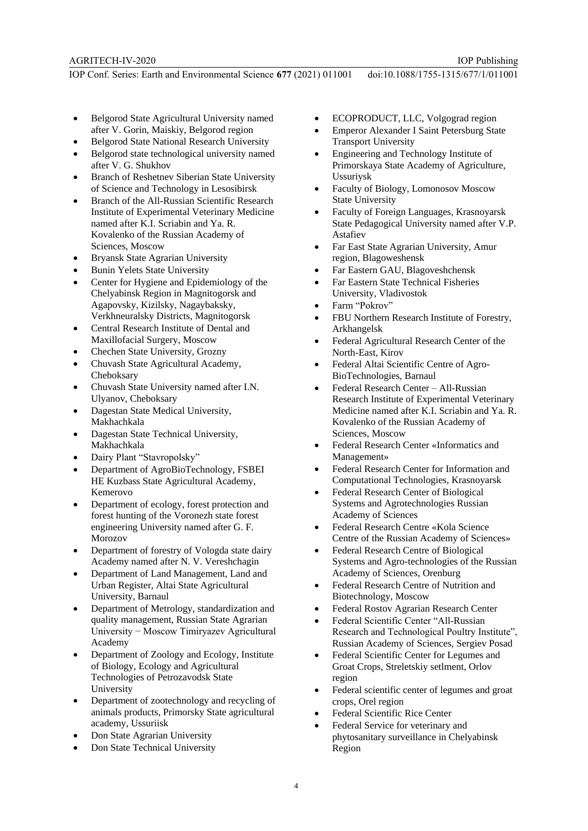- Belgorod State Agricultural University named after V. Gorin, Maiskiy, Belgorod region
- Belgorod State National Research University
- Belgorod state technological university named after V. G. Shukhov
- Branch of Reshetnev Siberian State University of Science and Technology in Lesosibirsk
- Branch of the All-Russian Scientific Research Institute of Experimental Veterinary Medicine named after K.I. Scriabin and Ya. R. Kovalenko of the Russian Academy of Sciences, Moscow
- Bryansk State Agrarian University
- Bunin Yelets State University
- Center for Hygiene and Epidemiology of the Chelyabinsk Region in Magnitogorsk and Agapovsky, Kizilsky, Nagaybaksky, Verkhneuralsky Districts, Magnitogorsk
- Central Research Institute of Dental and Maxillofacial Surgery, Moscow
- Chechen State University, Grozny
- Chuvash State Agricultural Academy, Cheboksary
- Chuvash State University named after I.N. Ulyanov, Cheboksary
- Dagestan State Medical University, Makhachkala
- Dagestan State Technical University, Makhachkala
- Dairy Plant "Stavropolsky"
- Department of AgroBioTechnology, FSBEI HE Kuzbass State Agricultural Academy, Kemerovo
- Department of ecology, forest protection and forest hunting of the Voronezh state forest engineering University named after G. F. Morozov
- Department of forestry of Vologda state dairy Academy named after N. V. Vereshchagin
- Department of Land Management, Land and Urban Register, Altai State Agricultural University, Barnaul
- Department of Metrology, standardization and quality management, Russian State Agrarian University − Moscow Timiryazev Agricultural Academy
- Department of Zoology and Ecology, Institute of Biology, Ecology and Agricultural Technologies of Petrozavodsk State University
- Department of zootechnology and recycling of animals products, Primorsky State agricultural academy, Ussuriisk
- Don State Agrarian University
- Don State Technical University
- ECOPRODUCT, LLC, Volgograd region
- Emperor Alexander I Saint Petersburg State Transport University
- Engineering and Technology Institute of Primorskaya State Academy of Agriculture, Ussuriysk
- Faculty of Biology, Lomonosov Moscow State University
- Faculty of Foreign Languages, Krasnoyarsk State Pedagogical University named after V.P. Astafiev
- Far East State Agrarian University, Amur region, Blagoweshensk
- Far Eastern GAU, Blagoveshchensk
- Far Eastern State Technical Fisheries University, Vladivostok
- Farm "Pokrov"
- FBU Northern Research Institute of Forestry, Arkhangelsk
- Federal Agricultural Research Center of the North-East, Kirov
- Federal Altai Scientific Centre of Agro-BioTechnologies, Barnaul
- Federal Research Center All-Russian Research Institute of Experimental Veterinary Medicine named after K.I. Scriabin and Ya. R. Kovalenko of the Russian Academy of Sciences, Moscow
- Federal Research Center «Informatics and Management»
- Federal Research Center for Information and Computational Technologies, Krasnoyarsk
- Federal Research Center of Biological Systems and Agrotechnologies Russian Academy of Sciences
- Federal Research Centre «Kola Science Centre of the Russian Academy of Sciences»
- Federal Research Centre of Biological Systems and Agro-technologies of the Russian Academy of Sciences, Orenburg
- Federal Research Centre of Nutrition and Biotechnology, Moscow
- Federal Rostov Agrarian Research Center
- Federal Scientific Center "All-Russian Research and Technological Poultry Institute", Russian Academy of Sciences, Sergiev Posad
- Federal Scientific Center for Legumes and Groat Crops, Streletskiy setlment, Orlov region
- Federal scientific center of legumes and groat crops, Orel region
- Federal Scientific Rice Center
- Federal Service for veterinary and phytosanitary surveillance in Chelyabinsk Region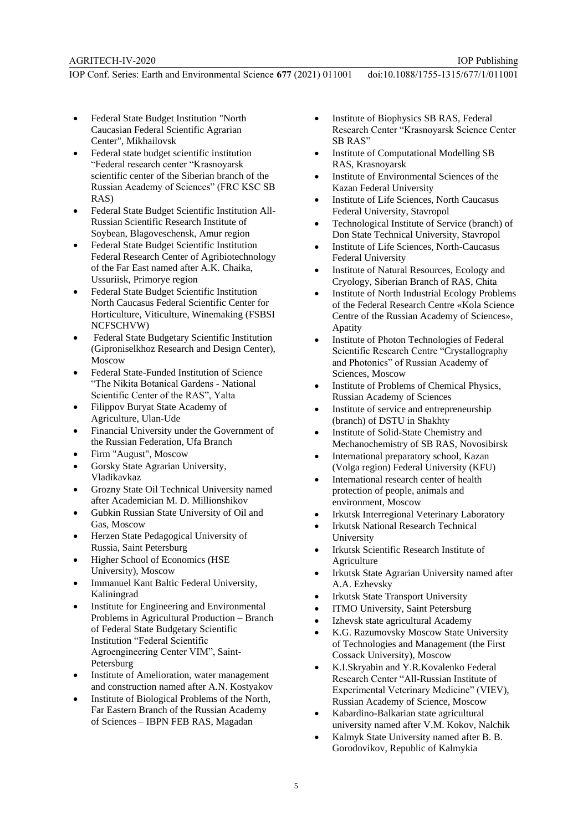- Federal State Budget Institution "North Caucasian Federal Scientific Agrarian Center", Mikhailovsk
- Federal state budget scientific institution "Federal research center "Krasnoyarsk scientific center of the Siberian branch of the Russian Academy of Sciences" (FRC KSC SB RAS)
- Federal State Budget Scientific Institution All-Russian Scientific Research Institute of Soybean, Blagoveschensk, Amur region
- Federal State Budget Scientific Institution Federal Research Center of Agribiotechnology of the Far East named after A.K. Chaika, Ussuriisk, Primorye region
- Federal State Budget Scientific Institution North Caucasus Federal Scientific Center for Horticulture, Viticulture, Winemaking (FSBSI NCFSCHVW)
- Federal State Budgetary Scientific Institution (Giproniselkhoz Research and Design Center), Moscow
- Federal State-Funded Institution of Science "The Nikita Botanical Gardens - National Scientific Center of the RAS", Yalta
- Filippov Buryat State Academy of Agriculture, Ulan-Ude
- Financial University under the Government of the Russian Federation, Ufa Branch
- Firm "August", Moscow
- Gorsky State Agrarian University, Vladikavkaz
- Grozny State Oil Technical University named after Academician M. D. Millionshikov
- Gubkin Russian State University of Oil and Gas, Moscow
- Herzen State Pedagogical University of Russia, Saint Petersburg
- Higher School of Economics (HSE University), Moscow
- Immanuel Kant Baltic Federal University, Kaliningrad
- Institute for Engineering and Environmental Problems in Agricultural Production – Branch of Federal State Budgetary Scientific Institution "Federal Scientific Agroengineering Center VIM", Saint-Petersburg
- Institute of Amelioration, water management and construction named after A.N. Kostyakov
- Institute of Biological Problems of the North, Far Eastern Branch of the Russian Academy of Sciences – IBPN FEB RAS, Magadan
- Institute of Biophysics SB RAS, Federal Research Center "Krasnoyarsk Science Center SB RAS"
- Institute of Computational Modelling SB RAS, Krasnoyarsk
- Institute of Environmental Sciences of the Kazan Federal University
- Institute of Life Sciences, North Caucasus Federal University, Stavropol
- Technological Institute of Service (branch) of Don State Technical University, Stavropol
- Institute of Life Sciences, North-Caucasus Federal University
- Institute of Natural Resources, Ecology and Cryology, Siberian Branch of RAS, Chita
- Institute of North Industrial Ecology Problems of the Federal Research Centre «Kola Science Centre of the Russian Academy of Sciences», Apatity
- Institute of Photon Technologies of Federal Scientific Research Centre "Crystallography and Photonics" of Russian Academy of Sciences, Moscow
- Institute of Problems of Chemical Physics, Russian Academy of Sciences
- Institute of service and entrepreneurship (branch) of DSTU in Shakhty
- Institute of Solid-State Chemistry and Mechanochemistry of SB RAS, Novosibirsk
- International preparatory school, Kazan (Volga region) Federal University (KFU)
- International research center of health protection of people, animals and environment, Moscow
- Irkutsk Interregional Veterinary Laboratory
- Irkutsk National Research Technical University
- Irkutsk Scientific Research Institute of **Agriculture**
- Irkutsk State Agrarian University named after A.A. Ezhevsky
- Irkutsk State Transport University
- ITMO University, Saint Petersburg
- Izhevsk state agricultural Academy
- K.G. Razumovsky Moscow State University of Technologies and Management (the First Cossack University), Moscow
- K.I.Skryabin and Y.R.Kovalenko Federal Research Center "All-Russian Institute of Experimental Veterinary Medicine" (VIEV), Russian Academy of Science, Moscow
- Kabardino-Balkarian state agricultural university named after V.M. Kokov, Nalchik
- Kalmyk State University named after B. B. Gorodovikov, Republic of Kalmykia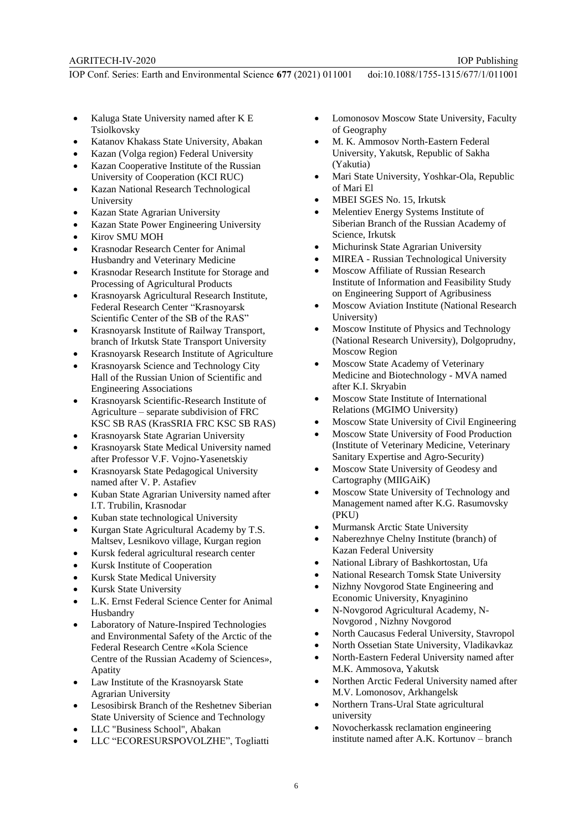- Kaluga State University named after K E Tsiolkovsky
- Katanov Khakass State University, Abakan
- Kazan (Volga region) Federal University
- Kazan Cooperative Institute of the Russian University of Cooperation (KCI RUC)
- Kazan National Research Technological University
- Kazan State Agrarian University
- Kazan State Power Engineering University
- Kirov SMU MOH
- Krasnodar Research Center for Animal Husbandry and Veterinary Medicine
- Krasnodar Research Institute for Storage and Processing of Agricultural Products
- Krasnoyarsk Agricultural Research Institute, Federal Research Center "Krasnoyarsk Scientific Center of the SB of the RAS"
- Krasnoyarsk Institute of Railway Transport, branch of Irkutsk State Transport University
- Krasnoyarsk Research Institute of Agriculture
- Krasnoyarsk Science and Technology City Hall of the Russian Union of Scientific and Engineering Associations
- Krasnoyarsk Scientific-Research Institute of Agriculture – separate subdivision of FRC KSC SB RAS (KrasSRIA FRC KSC SB RAS)
- Krasnoyarsk State Agrarian University
- Krasnoyarsk State Medical University named after Professor V.F. Vojno-Yasenetskiy
- Krasnoyarsk State Pedagogical University named after V. P. Astafiev
- Kuban State Agrarian University named after I.T. Trubilin, Krasnodar
- Kuban state technological University
- Kurgan State Agricultural Academy by T.S. Maltsev, Lesnikovo village, Kurgan region
- Kursk federal agricultural research center
- Kursk Institute of Cooperation
- Kursk State Medical University
- Kursk State University
- L.K. Ernst Federal Science Center for Animal Husbandry
- Laboratory of Nature-Inspired Technologies and Environmental Safety of the Arctic of the Federal Research Centre «Kola Science Centre of the Russian Academy of Sciences», Apatity
- Law Institute of the Krasnoyarsk State Agrarian University
- Lesosibirsk Branch of the Reshetnev Siberian State University of Science and Technology
- LLC "Business School", Abakan
- LLC "ECORESURSPOVOLZHE", Togliatti
- Lomonosov Moscow State University, Faculty of Geography
- M. K. Ammosov North-Eastern Federal University, Yakutsk, Republic of Sakha (Yakutia)
- Mari State University, Yoshkar-Ola, Republic of Mari El
- MBEI SGES No. 15, Irkutsk
- Melentiev Energy Systems Institute of Siberian Branch of the Russian Academy of Science, Irkutsk
- Michurinsk State Agrarian University
- MIREA Russian Technological University
- Moscow Affiliate of Russian Research Institute of Information and Feasibility Study on Engineering Support of Agribusiness
- Moscow Aviation Institute (National Research University)
- Moscow Institute of Physics and Technology (National Research University), Dolgoprudny, Moscow Region
- Moscow State Academy of Veterinary Medicine and Biotechnology - MVA named after K.I. Skryabin
- Moscow State Institute of International Relations (MGIMO University)
- Moscow State University of Civil Engineering
- Moscow State University of Food Production (Institute of Veterinary Medicine, Veterinary Sanitary Expertise and Agro-Security)
- Moscow State University of Geodesy and Cartography (MIIGAiK)
- Moscow State University of Technology and Management named after K.G. Rasumovsky (PKU)
- Murmansk Arctic State University
- Naberezhnye Chelny Institute (branch) of Kazan Federal University
- National Library of Bashkortostan, Ufa
- National Research Tomsk State University
- Nizhny Novgorod State Engineering and Economic University, Knyaginino
- N-Novgorod Agricultural Academy, N-Novgorod , Nizhny Novgorod
- North Caucasus Federal University, Stavropol
- North Ossetian State University, Vladikavkaz
- North-Eastern Federal University named after M.K. Ammosova, Yakutsk
- Northen Arctic Federal University named after M.V. Lomonosov, Arkhangelsk
- Northern Trans-Ural State agricultural university
- Novocherkassk reclamation engineering institute named after A.K. Kortunov – branch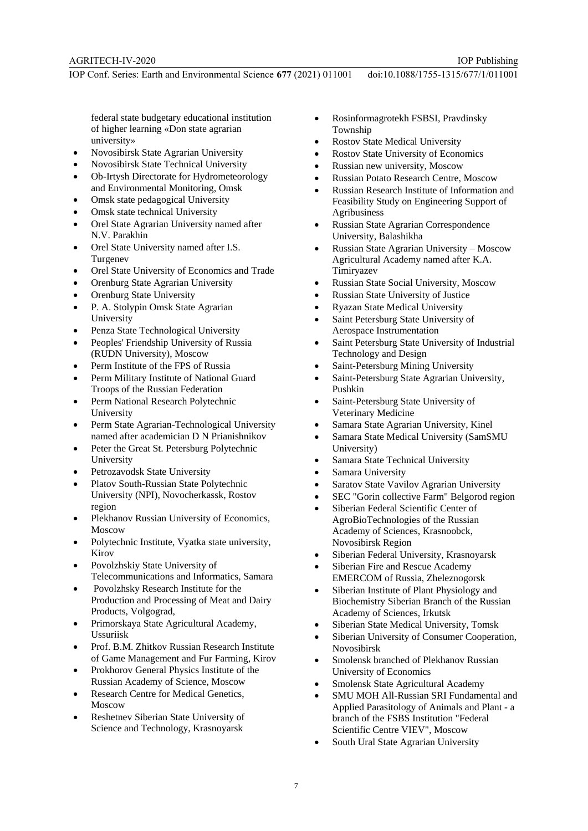federal state budgetary educational institution of higher learning «Don state agrarian university»

- Novosibirsk State Agrarian University
- Novosibirsk State Technical University
- Ob-Irtysh Directorate for Hydrometeorology and Environmental Monitoring, Omsk
- Omsk state pedagogical University
- Omsk state technical University
- Orel State Agrarian University named after N.V. Parakhin
- Orel State University named after I.S. Turgenev
- Orel State University of Economics and Trade
- Orenburg State Agrarian University
- Orenburg State University
- P. A. Stolypin Omsk State Agrarian University
- Penza State Technological University
- Peoples' Friendship University of Russia (RUDN University), Moscow
- Perm Institute of the FPS of Russia
- Perm Military Institute of National Guard Troops of the Russian Federation
- Perm National Research Polytechnic University
- Perm State Agrarian-Technological University named after academician D N Prianishnikov
- Peter the Great St. Petersburg Polytechnic University
- Petrozavodsk State University
- Platov South-Russian State Polytechnic University (NPI), Novocherkassk, Rostov region
- Plekhanov Russian University of Economics, Moscow
- Polytechnic Institute, Vyatka state university, Kirov
- Povolzhskiy State University of Telecommunications and Informatics, Samara
- Povolzhsky Research Institute for the Production and Processing of Meat and Dairy Products, Volgograd,
- Primorskaya State Agricultural Academy, Ussuriisk
- Prof. B.M. Zhitkov Russian Research Institute of Game Management and Fur Farming, Kirov
- Prokhorov General Physics Institute of the Russian Academy of Science, Moscow
- Research Centre for Medical Genetics, Moscow
- Reshetnev Siberian State University of Science and Technology, Krasnoyarsk
- Rosinformagrotekh FSBSI, Pravdinsky Township
- Rostov State Medical University
- Rostov State University of Economics
- Russian new university, Moscow
- Russian Potato Research Centre, Moscow
- Russian Research Institute of Information and Feasibility Study on Engineering Support of Agribusiness
- Russian State Agrarian Correspondence University, Balashikha
- Russian State Agrarian University Moscow Agricultural Academy named after K.A. Timiryazev
- Russian State Social University, Moscow
- Russian State University of Justice
- Ryazan State Medical University
- Saint Petersburg State University of Aerospace Instrumentation
- Saint Petersburg State University of Industrial Technology and Design
- Saint-Petersburg Mining University
- Saint-Petersburg State Agrarian University, Pushkin
- Saint-Petersburg State University of Veterinary Medicine
- Samara State Agrarian University, Kinel
- Samara State Medical University (SamSMU University)
- Samara State Technical University
- Samara University
- Saratov State Vavilov Agrarian University
- SEC "Gorin collective Farm" Belgorod region
- Siberian Federal Scientific Center of AgroBioTechnologies of the Russian Academy of Sciences, Krasnoobck, Novosibirsk Region
- Siberian Federal University, Krasnoyarsk
- Siberian Fire and Rescue Academy EMERCOM of Russia, Zheleznogorsk
- Siberian Institute of Plant Physiology and Biochemistry Siberian Branch of the Russian Academy of Sciences, Irkutsk
- Siberian State Medical University, Tomsk
- Siberian University of Consumer Cooperation, Novosibirsk
- Smolensk branched of Plekhanov Russian University of Economics
- Smolensk State Agricultural Academy
- SMU MOH All-Russian SRI Fundamental and Applied Parasitology of Animals and Plant - a branch of the FSBS Institution "Federal Scientific Centre VIEV", Moscow
- South Ural State Agrarian University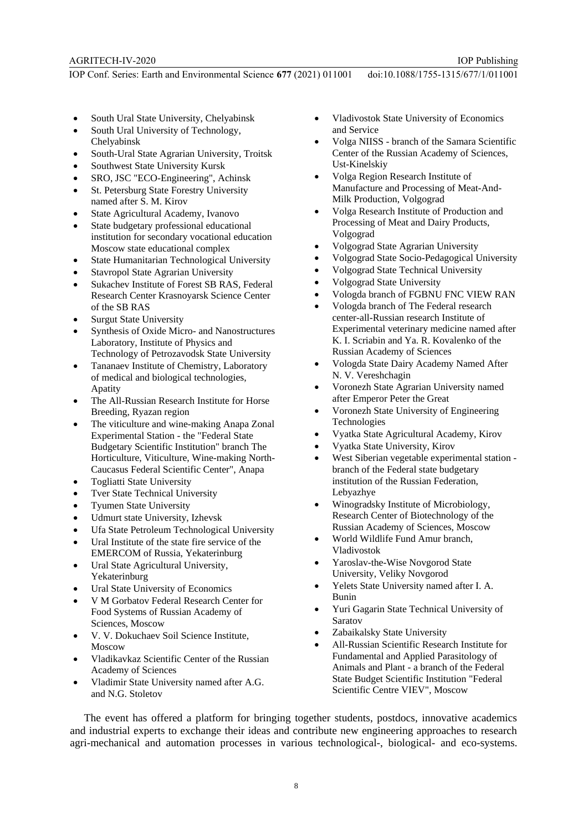AGRITECH-IV-2020

IOP Publishing

IOP Conf. Series: Earth and Environmental Science **677** (2021) 011001 doi:10.1088/1755-1315/677/1/011001

- South Ural State University, Chelyabinsk
- South Ural University of Technology, Chelyabinsk
- South-Ural State Agrarian University, Troitsk
- Southwest State University Kursk
- SRO, JSC "ECO-Engineering", Achinsk
- St. Petersburg State Forestry University named after S. M. Kirov
- State Agricultural Academy, Ivanovo
- State budgetary professional educational institution for secondary vocational education Moscow state educational complex
- State Humanitarian Technological University
- Stavropol State Agrarian University
- Sukachev Institute of Forest SB RAS, Federal Research Center Krasnoyarsk Science Center of the SB RAS
- Surgut State University
- Synthesis of Oxide Micro- and Nanostructures Laboratory, Institute of Physics and Technology of Petrozavodsk State University
- Tananaev Institute of Chemistry, Laboratory of medical and biological technologies, Apatity
- The All-Russian Research Institute for Horse Breeding, Ryazan region
- The viticulture and wine-making Anapa Zonal Experimental Station - the "Federal State Budgetary Scientific Institution" branch The Horticulture, Viticulture, Wine-making North-Caucasus Federal Scientific Center", Anapa
- Togliatti State University
- Tver State Technical University
- Tyumen State University
- Udmurt state University, Izhevsk
- Ufa State Petroleum Technological University
- Ural Institute of the state fire service of the EMERCOM of Russia, Yekaterinburg
- Ural State Agricultural University. Yekaterinburg
- Ural State University of Economics
- V M Gorbatov Federal Research Center for Food Systems of Russian Academy of Sciences, Moscow
- V. V. Dokuchaev Soil Science Institute, Moscow
- Vladikavkaz Scientific Center of the Russian Academy of Sciences
- Vladimir State University named after A.G. and N.G. Stoletov
- Vladivostok State University of Economics and Service
- Volga NIISS branch of the Samara Scientific Center of the Russian Academy of Sciences, Ust-Kinelskiy
- Volga Region Research Institute of Manufacture and Processing of Meat-And-Milk Production, Volgograd
- Volga Research Institute of Production and Processing of Meat and Dairy Products, Volgograd
- Volgograd State Agrarian University
- Volgograd State Socio-Pedagogical University
- Volgograd State Technical University
- Volgograd State University
- Vologda branch of FGBNU FNC VIEW RAN
- Vologda branch of The Federal research center-all-Russian research Institute of Experimental veterinary medicine named after K. I. Scriabin and Ya. R. Kovalenko of the Russian Academy of Sciences
- Vologda State Dairy Academy Named After N. V. Vereshchagin
- Voronezh State Agrarian University named after Emperor Peter the Great
- Voronezh State University of Engineering Technologies
- Vyatka State Agricultural Academy, Kirov
- Vyatka State University, Kirov
- West Siberian vegetable experimental station branch of the Federal state budgetary institution of the Russian Federation, Lebyazhye
- Winogradsky Institute of Microbiology, Research Center of Biotechnology of the Russian Academy of Sciences, Moscow
- World Wildlife Fund Amur branch, Vladivostok
- Yaroslav-the-Wise Novgorod State University, Veliky Novgorod
- Yelets State University named after I. A. Bunin
- Yuri Gagarin State Technical University of Saratov
- Zabaikalsky State University
- Аll-Russian Scientific Research Institute for Fundamental and Applied Parasitology of Animals and Plant - a branch of the Federal State Budget Scientific Institution "Federal Scientific Centre VIEV", Moscow

The event has offered a platform for bringing together students, postdocs, innovative academics and industrial experts to exchange their ideas and contribute new engineering approaches to research agri-mechanical and automation processes in various technological-, biological- and eco-systems.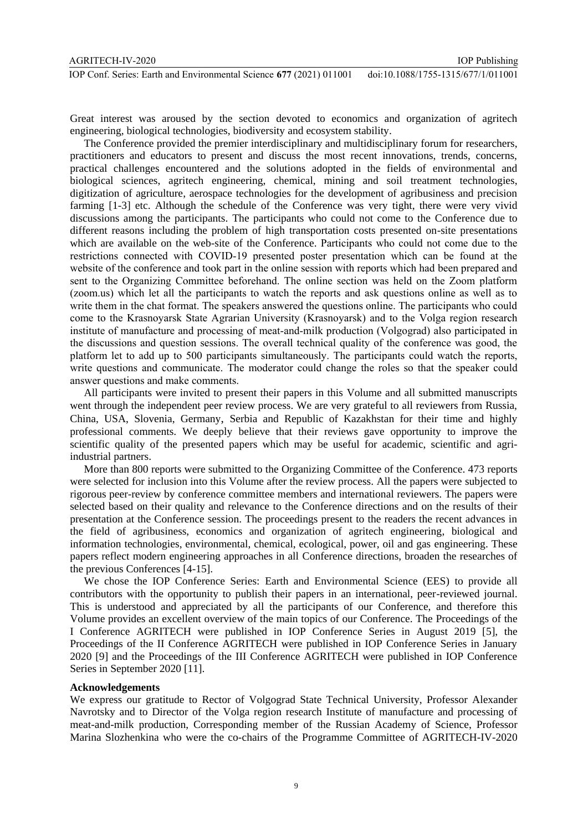Great interest was aroused by the section devoted to economics and organization of agritech engineering, biological technologies, biodiversity and ecosystem stability.

The Conference provided the premier interdisciplinary and multidisciplinary forum for researchers, practitioners and educators to present and discuss the most recent innovations, trends, concerns, practical challenges encountered and the solutions adopted in the fields of environmental and biological sciences, agritech engineering, chemical, mining and soil treatment technologies, digitization of agriculture, aerospace technologies for the development of agribusiness and precision farming [1-3] etc. Although the schedule of the Conference was very tight, there were very vivid discussions among the participants. The participants who could not come to the Conference due to different reasons including the problem of high transportation costs presented on-site presentations which are available on the web-site of the Conference. Participants who could not come due to the restrictions connected with COVID-19 presented poster presentation which can be found at the website of the conference and took part in the online session with reports which had been prepared and sent to the Organizing Committee beforehand. The online section was held on the Zoom platform (zoom.us) which let all the participants to watch the reports and ask questions online as well as to write them in the chat format. The speakers answered the questions online. The participants who could come to the Krasnoyarsk State Agrarian University (Krasnoyarsk) and to the Volga region research institute of manufacture and processing of meat-and-milk production (Volgograd) also participated in the discussions and question sessions. The overall technical quality of the conference was good, the platform let to add up to 500 participants simultaneously. The participants could watch the reports, write questions and communicate. The moderator could change the roles so that the speaker could answer questions and make comments.

All participants were invited to present their papers in this Volume and all submitted manuscripts went through the independent peer review process. We are very grateful to all reviewers from Russia, China, USA, Slovenia, Germany, Serbia and Republic of Kazakhstan for their time and highly professional comments. We deeply believe that their reviews gave opportunity to improve the scientific quality of the presented papers which may be useful for academic, scientific and agriindustrial partners.

More than 800 reports were submitted to the Organizing Committee of the Conference. 473 reports were selected for inclusion into this Volume after the review process. All the papers were subjected to rigorous peer-review by conference committee members and international reviewers. The papers were selected based on their quality and relevance to the Conference directions and on the results of their presentation at the Conference session. The proceedings present to the readers the recent advances in the field of agribusiness, economics and organization of agritech engineering, biological and information technologies, environmental, chemical, ecological, power, oil and gas engineering. These papers reflect modern engineering approaches in all Conference directions, broaden the researches of the previous Conferences [4-15].

We chose the IOP Conference Series: Earth and Environmental Science (EES) to provide all contributors with the opportunity to publish their papers in an international, peer-reviewed journal. This is understood and appreciated by all the participants of our Conference, and therefore this Volume provides an excellent overview of the main topics of our Conference. The Proceedings of the I Conference AGRITECH were published in IOP Conference Series in August 2019 [5], the Proceedings of the II Conference AGRITECH were published in IOP Conference Series in January 2020 [9] and the Proceedings of the III Conference AGRITECH were published in IOP Conference Series in September 2020 [11].

### **Acknowledgements**

We express our gratitude to Rector of Volgograd State Technical University, Professor Alexander Navrotsky and to Director of the Volga region research Institute of manufacture and processing of meat-and-milk production, Corresponding member of the Russian Academy of Science, Professor Marina Slozhenkina who were the co-chairs of the Programme Committee of AGRITECH-IV-2020